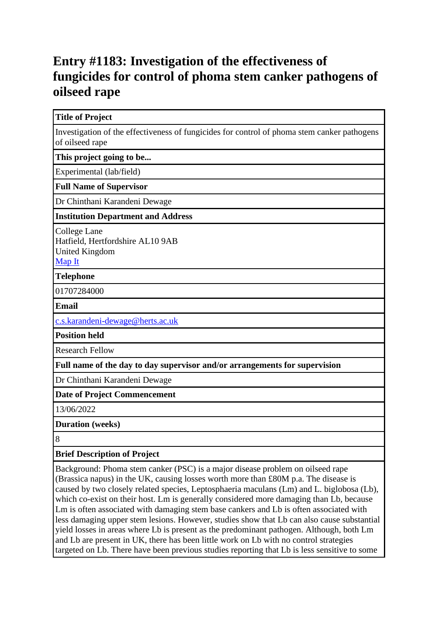## **Entry #1183: Investigation of the effectiveness of fungicides for control of phoma stem canker pathogens of oilseed rape**

**Title of Project**

Investigation of the effectiveness of fungicides for control of phoma stem canker pathogens of oilseed rape

**This project going to be...**

Experimental (lab/field)

**Full Name of Supervisor**

Dr Chinthani Karandeni Dewage

**Institution Department and Address**

College Lane Hatfield, Hertfordshire AL10 9AB United Kingdom [Map It](http://maps.google.com/maps?q=College+Lane+Hatfield%2C+Hertfordshire+AL10+9AB+United+Kingdom)

**Telephone**

01707284000

**Email**

[c.s.karandeni-dewage@herts.ac.uk](mailto:c.s.karandeni-dewage@herts.ac.uk)

**Position held**

Research Fellow

**Full name of the day to day supervisor and/or arrangements for supervision**

Dr Chinthani Karandeni Dewage

**Date of Project Commencement**

13/06/2022

**Duration (weeks)**

8

**Brief Description of Project**

Background: Phoma stem canker (PSC) is a major disease problem on oilseed rape (Brassica napus) in the UK, causing losses worth more than £80M p.a. The disease is caused by two closely related species, Leptosphaeria maculans (Lm) and L. biglobosa (Lb), which co-exist on their host. Lm is generally considered more damaging than Lb, because Lm is often associated with damaging stem base cankers and Lb is often associated with less damaging upper stem lesions. However, studies show that Lb can also cause substantial yield losses in areas where Lb is present as the predominant pathogen. Although, both Lm and Lb are present in UK, there has been little work on Lb with no control strategies targeted on Lb. There have been previous studies reporting that Lb is less sensitive to some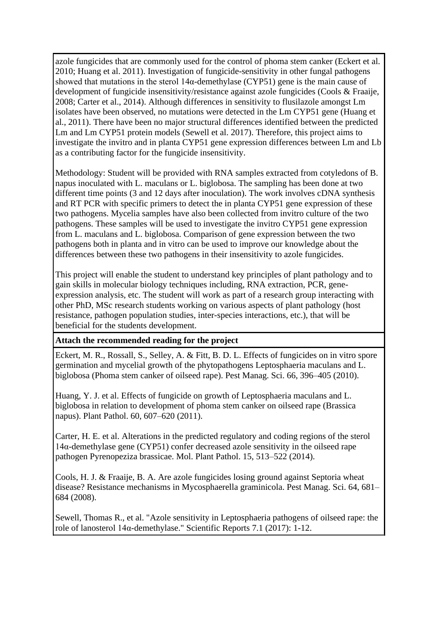azole fungicides that are commonly used for the control of phoma stem canker (Eckert et al. 2010; Huang et al. 2011). Investigation of fungicide-sensitivity in other fungal pathogens showed that mutations in the sterol  $14\alpha$ -demethylase (CYP51) gene is the main cause of development of fungicide insensitivity/resistance against azole fungicides (Cools & Fraaije, 2008; Carter et al., 2014). Although differences in sensitivity to flusilazole amongst Lm isolates have been observed, no mutations were detected in the Lm CYP51 gene (Huang et al., 2011). There have been no major structural differences identified between the predicted Lm and Lm CYP51 protein models (Sewell et al. 2017). Therefore, this project aims to investigate the invitro and in planta CYP51 gene expression differences between Lm and Lb as a contributing factor for the fungicide insensitivity.

Methodology: Student will be provided with RNA samples extracted from cotyledons of B. napus inoculated with L. maculans or L. biglobosa. The sampling has been done at two different time points (3 and 12 days after inoculation). The work involves cDNA synthesis and RT PCR with specific primers to detect the in planta CYP51 gene expression of these two pathogens. Mycelia samples have also been collected from invitro culture of the two pathogens. These samples will be used to investigate the invitro CYP51 gene expression from L. maculans and L. biglobosa. Comparison of gene expression between the two pathogens both in planta and in vitro can be used to improve our knowledge about the differences between these two pathogens in their insensitivity to azole fungicides.

This project will enable the student to understand key principles of plant pathology and to gain skills in molecular biology techniques including, RNA extraction, PCR, geneexpression analysis, etc. The student will work as part of a research group interacting with other PhD, MSc research students working on various aspects of plant pathology (host resistance, pathogen population studies, inter-species interactions, etc.), that will be beneficial for the students development.

#### **Attach the recommended reading for the project**

Eckert, M. R., Rossall, S., Selley, A. & Fitt, B. D. L. Effects of fungicides on in vitro spore germination and mycelial growth of the phytopathogens Leptosphaeria maculans and L. biglobosa (Phoma stem canker of oilseed rape). Pest Manag. Sci. 66, 396–405 (2010).

Huang, Y. J. et al. Effects of fungicide on growth of Leptosphaeria maculans and L. biglobosa in relation to development of phoma stem canker on oilseed rape (Brassica napus). Plant Pathol. 60, 607–620 (2011).

Carter, H. E. et al. Alterations in the predicted regulatory and coding regions of the sterol 14α-demethylase gene (CYP51) confer decreased azole sensitivity in the oilseed rape pathogen Pyrenopeziza brassicae. Mol. Plant Pathol. 15, 513–522 (2014).

Cools, H. J. & Fraaije, B. A. Are azole fungicides losing ground against Septoria wheat disease? Resistance mechanisms in Mycosphaerella graminicola. Pest Manag. Sci. 64, 681– 684 (2008).

Sewell, Thomas R., et al. "Azole sensitivity in Leptosphaeria pathogens of oilseed rape: the role of lanosterol 14α-demethylase." Scientific Reports 7.1 (2017): 1-12.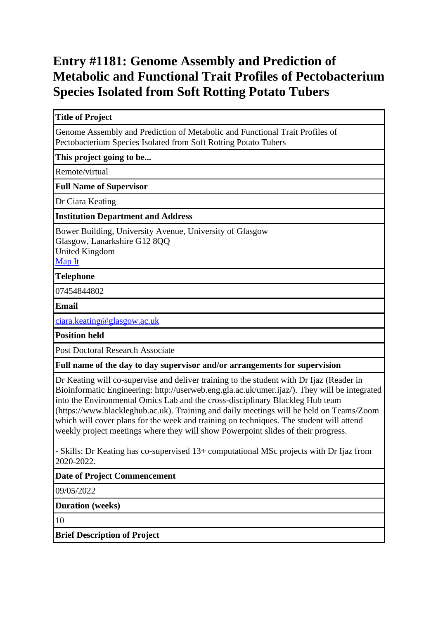## **Entry #1181: Genome Assembly and Prediction of Metabolic and Functional Trait Profiles of Pectobacterium Species Isolated from Soft Rotting Potato Tubers**

**Title of Project**

Genome Assembly and Prediction of Metabolic and Functional Trait Profiles of Pectobacterium Species Isolated from Soft Rotting Potato Tubers

**This project going to be...**

Remote/virtual

**Full Name of Supervisor**

Dr Ciara Keating

**Institution Department and Address**

Bower Building, University Avenue, University of Glasgow Glasgow, Lanarkshire G12 8QQ United Kingdom

[Map It](http://maps.google.com/maps?q=Bower+Building%2C+University+Avenue%2C+University+of+Glasgow+Glasgow%2C+Lanarkshire+G12+8QQ+United+Kingdom)

**Telephone**

07454844802

**Email**

[ciara.keating@glasgow.ac.uk](mailto:ciara.keating@glasgow.ac.uk)

**Position held**

Post Doctoral Research Associate

**Full name of the day to day supervisor and/or arrangements for supervision**

Dr Keating will co-supervise and deliver training to the student with Dr Ijaz (Reader in Bioinformatic Engineering: http://userweb.eng.gla.ac.uk/umer.ijaz/). They will be integrated into the Environmental Omics Lab and the cross-disciplinary Blackleg Hub team (https://www.blackleghub.ac.uk). Training and daily meetings will be held on Teams/Zoom which will cover plans for the week and training on techniques. The student will attend weekly project meetings where they will show Powerpoint slides of their progress.

- Skills: Dr Keating has co-supervised 13+ computational MSc projects with Dr Ijaz from 2020-2022.

**Date of Project Commencement**

09/05/2022

**Duration (weeks)**

10

**Brief Description of Project**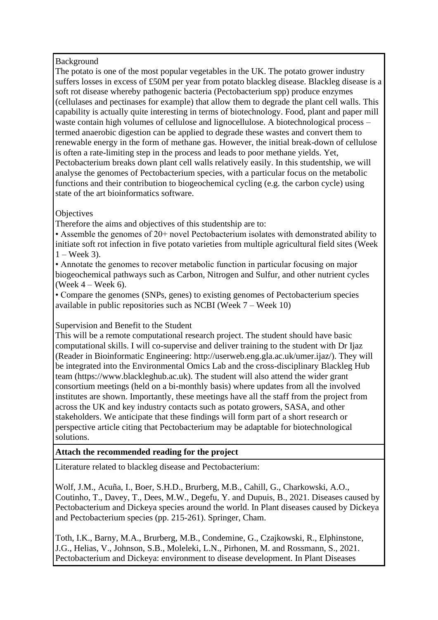Background

The potato is one of the most popular vegetables in the UK. The potato grower industry suffers losses in excess of £50M per year from potato blackleg disease. Blackleg disease is a soft rot disease whereby pathogenic bacteria (Pectobacterium spp) produce enzymes (cellulases and pectinases for example) that allow them to degrade the plant cell walls. This capability is actually quite interesting in terms of biotechnology. Food, plant and paper mill waste contain high volumes of cellulose and lignocellulose. A biotechnological process – termed anaerobic digestion can be applied to degrade these wastes and convert them to renewable energy in the form of methane gas. However, the initial break-down of cellulose is often a rate-limiting step in the process and leads to poor methane yields. Yet, Pectobacterium breaks down plant cell walls relatively easily. In this studentship, we will analyse the genomes of Pectobacterium species, with a particular focus on the metabolic functions and their contribution to biogeochemical cycling (e.g. the carbon cycle) using state of the art bioinformatics software.

### **Objectives**

Therefore the aims and objectives of this studentship are to:

• Assemble the genomes of 20+ novel Pectobacterium isolates with demonstrated ability to initiate soft rot infection in five potato varieties from multiple agricultural field sites (Week  $1 -$ Week 3).

• Annotate the genomes to recover metabolic function in particular focusing on major biogeochemical pathways such as Carbon, Nitrogen and Sulfur, and other nutrient cycles (Week  $4 -$  Week 6).

• Compare the genomes (SNPs, genes) to existing genomes of Pectobacterium species available in public repositories such as NCBI (Week 7 – Week 10)

Supervision and Benefit to the Student

This will be a remote computational research project. The student should have basic computational skills. I will co-supervise and deliver training to the student with Dr Ijaz (Reader in Bioinformatic Engineering: http://userweb.eng.gla.ac.uk/umer.ijaz/). They will be integrated into the Environmental Omics Lab and the cross-disciplinary Blackleg Hub team (https://www.blackleghub.ac.uk). The student will also attend the wider grant consortium meetings (held on a bi-monthly basis) where updates from all the involved institutes are shown. Importantly, these meetings have all the staff from the project from across the UK and key industry contacts such as potato growers, SASA, and other stakeholders. We anticipate that these findings will form part of a short research or perspective article citing that Pectobacterium may be adaptable for biotechnological solutions.

## **Attach the recommended reading for the project**

Literature related to blackleg disease and Pectobacterium:

Wolf, J.M., Acuña, I., Boer, S.H.D., Brurberg, M.B., Cahill, G., Charkowski, A.O., Coutinho, T., Davey, T., Dees, M.W., Degefu, Y. and Dupuis, B., 2021. Diseases caused by Pectobacterium and Dickeya species around the world. In Plant diseases caused by Dickeya and Pectobacterium species (pp. 215-261). Springer, Cham.

Toth, I.K., Barny, M.A., Brurberg, M.B., Condemine, G., Czajkowski, R., Elphinstone, J.G., Helias, V., Johnson, S.B., Moleleki, L.N., Pirhonen, M. and Rossmann, S., 2021. Pectobacterium and Dickeya: environment to disease development. In Plant Diseases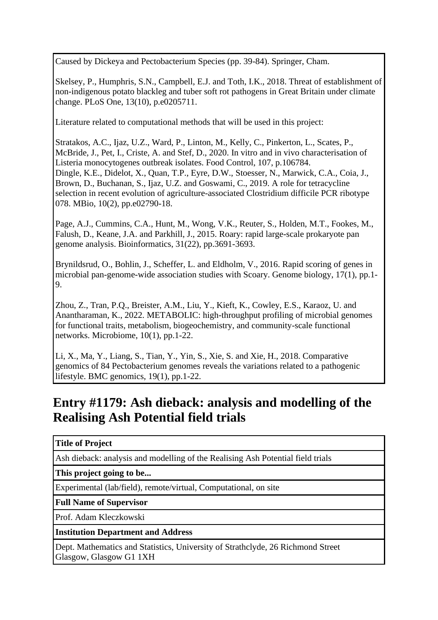Caused by Dickeya and Pectobacterium Species (pp. 39-84). Springer, Cham.

Skelsey, P., Humphris, S.N., Campbell, E.J. and Toth, I.K., 2018. Threat of establishment of non-indigenous potato blackleg and tuber soft rot pathogens in Great Britain under climate change. PLoS One, 13(10), p.e0205711.

Literature related to computational methods that will be used in this project:

Stratakos, A.C., Ijaz, U.Z., Ward, P., Linton, M., Kelly, C., Pinkerton, L., Scates, P., McBride, J., Pet, I., Criste, A. and Stef, D., 2020. In vitro and in vivo characterisation of Listeria monocytogenes outbreak isolates. Food Control, 107, p.106784. Dingle, K.E., Didelot, X., Quan, T.P., Eyre, D.W., Stoesser, N., Marwick, C.A., Coia, J., Brown, D., Buchanan, S., Ijaz, U.Z. and Goswami, C., 2019. A role for tetracycline selection in recent evolution of agriculture-associated Clostridium difficile PCR ribotype 078. MBio, 10(2), pp.e02790-18.

Page, A.J., Cummins, C.A., Hunt, M., Wong, V.K., Reuter, S., Holden, M.T., Fookes, M., Falush, D., Keane, J.A. and Parkhill, J., 2015. Roary: rapid large-scale prokaryote pan genome analysis. Bioinformatics, 31(22), pp.3691-3693.

Brynildsrud, O., Bohlin, J., Scheffer, L. and Eldholm, V., 2016. Rapid scoring of genes in microbial pan-genome-wide association studies with Scoary. Genome biology, 17(1), pp.1- 9.

Zhou, Z., Tran, P.Q., Breister, A.M., Liu, Y., Kieft, K., Cowley, E.S., Karaoz, U. and Anantharaman, K., 2022. METABOLIC: high-throughput profiling of microbial genomes for functional traits, metabolism, biogeochemistry, and community-scale functional networks. Microbiome, 10(1), pp.1-22.

Li, X., Ma, Y., Liang, S., Tian, Y., Yin, S., Xie, S. and Xie, H., 2018. Comparative genomics of 84 Pectobacterium genomes reveals the variations related to a pathogenic lifestyle. BMC genomics, 19(1), pp.1-22.

## **Entry #1179: Ash dieback: analysis and modelling of the Realising Ash Potential field trials**

## **Title of Project**

Ash dieback: analysis and modelling of the Realising Ash Potential field trials

**This project going to be...**

Experimental (lab/field), remote/virtual, Computational, on site

**Full Name of Supervisor**

Prof. Adam Kleczkowski

## **Institution Department and Address**

Dept. Mathematics and Statistics, University of Strathclyde, 26 Richmond Street Glasgow, Glasgow G1 1XH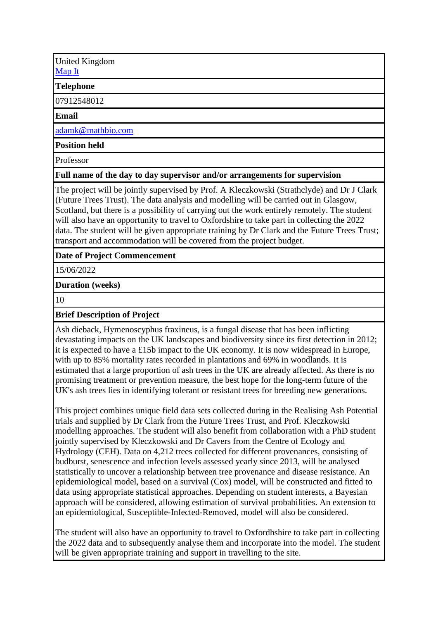United Kingdom [Map It](http://maps.google.com/maps?q=Dept.+Mathematics+and+Statistics%2C+University+of+Strathclyde%2C+26+Richmond+Street+Glasgow%2C+Glasgow+G1+1XH+United+Kingdom)

### **Telephone**

07912548012

#### **Email**

[adamk@mathbio.com](mailto:adamk@mathbio.com)

#### **Position held**

Professor

#### **Full name of the day to day supervisor and/or arrangements for supervision**

The project will be jointly supervised by Prof. A Kleczkowski (Strathclyde) and Dr J Clark (Future Trees Trust). The data analysis and modelling will be carried out in Glasgow, Scotland, but there is a possibility of carrying out the work entirely remotely. The student will also have an opportunity to travel to Oxfordshire to take part in collecting the 2022 data. The student will be given appropriate training by Dr Clark and the Future Trees Trust; transport and accommodation will be covered from the project budget.

#### **Date of Project Commencement**

15/06/2022

#### **Duration (weeks)**

10

#### **Brief Description of Project**

Ash dieback, Hymenoscyphus fraxineus, is a fungal disease that has been inflicting devastating impacts on the UK landscapes and biodiversity since its first detection in 2012; it is expected to have a £15b impact to the UK economy. It is now widespread in Europe, with up to 85% mortality rates recorded in plantations and 69% in woodlands. It is estimated that a large proportion of ash trees in the UK are already affected. As there is no promising treatment or prevention measure, the best hope for the long-term future of the UK's ash trees lies in identifying tolerant or resistant trees for breeding new generations.

This project combines unique field data sets collected during in the Realising Ash Potential trials and supplied by Dr Clark from the Future Trees Trust, and Prof. Kleczkowski modelling approaches. The student will also benefit from collaboration with a PhD student jointly supervised by Kleczkowski and Dr Cavers from the Centre of Ecology and Hydrology (CEH). Data on 4,212 trees collected for different provenances, consisting of budburst, senescence and infection levels assessed yearly since 2013, will be analysed statistically to uncover a relationship between tree provenance and disease resistance. An epidemiological model, based on a survival (Cox) model, will be constructed and fitted to data using appropriate statistical approaches. Depending on student interests, a Bayesian approach will be considered, allowing estimation of survival probabilities. An extension to an epidemiological, Susceptible-Infected-Removed, model will also be considered.

The student will also have an opportunity to travel to Oxfordhshire to take part in collecting the 2022 data and to subsequently analyse them and incorporate into the model. The student will be given appropriate training and support in travelling to the site.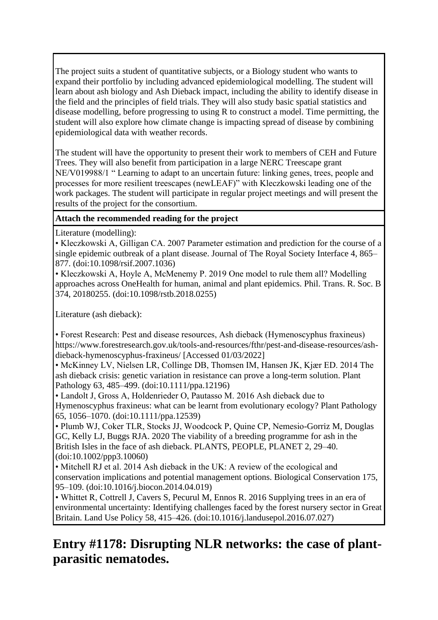The project suits a student of quantitative subjects, or a Biology student who wants to expand their portfolio by including advanced epidemiological modelling. The student will learn about ash biology and Ash Dieback impact, including the ability to identify disease in the field and the principles of field trials. They will also study basic spatial statistics and disease modelling, before progressing to using R to construct a model. Time permitting, the student will also explore how climate change is impacting spread of disease by combining epidemiological data with weather records.

The student will have the opportunity to present their work to members of CEH and Future Trees. They will also benefit from participation in a large NERC Treescape grant NE/V019988/1 " Learning to adapt to an uncertain future: linking genes, trees, people and processes for more resilient treescapes (newLEAF)" with Kleczkowski leading one of the work packages. The student will participate in regular project meetings and will present the results of the project for the consortium.

## **Attach the recommended reading for the project**

Literature (modelling):

• Kleczkowski A, Gilligan CA. 2007 Parameter estimation and prediction for the course of a single epidemic outbreak of a plant disease. Journal of The Royal Society Interface 4, 865– 877. (doi:10.1098/rsif.2007.1036)

• Kleczkowski A, Hoyle A, McMenemy P. 2019 One model to rule them all? Modelling approaches across OneHealth for human, animal and plant epidemics. Phil. Trans. R. Soc. B 374, 20180255. (doi:10.1098/rstb.2018.0255)

Literature (ash dieback):

• Forest Research: Pest and disease resources, Ash dieback (Hymenoscyphus fraxineus) https://www.forestresearch.gov.uk/tools-and-resources/fthr/pest-and-disease-resources/ashdieback-hymenoscyphus-fraxineus/ [Accessed 01/03/2022]

• McKinney LV, Nielsen LR, Collinge DB, Thomsen IM, Hansen JK, Kjær ED. 2014 The ash dieback crisis: genetic variation in resistance can prove a long-term solution. Plant Pathology 63, 485–499. (doi:10.1111/ppa.12196)

• Landolt J, Gross A, Holdenrieder O, Pautasso M. 2016 Ash dieback due to Hymenoscyphus fraxineus: what can be learnt from evolutionary ecology? Plant Pathology 65, 1056–1070. (doi:10.1111/ppa.12539)

• Plumb WJ, Coker TLR, Stocks JJ, Woodcock P, Quine CP, Nemesio-Gorriz M, Douglas GC, Kelly LJ, Buggs RJA. 2020 The viability of a breeding programme for ash in the British Isles in the face of ash dieback. PLANTS, PEOPLE, PLANET 2, 29–40. (doi:10.1002/ppp3.10060)

• Mitchell RJ et al. 2014 Ash dieback in the UK: A review of the ecological and conservation implications and potential management options. Biological Conservation 175, 95–109. (doi:10.1016/j.biocon.2014.04.019)

• Whittet R, Cottrell J, Cavers S, Pecurul M, Ennos R. 2016 Supplying trees in an era of environmental uncertainty: Identifying challenges faced by the forest nursery sector in Great Britain. Land Use Policy 58, 415–426. (doi:10.1016/j.landusepol.2016.07.027)

# **Entry #1178: Disrupting NLR networks: the case of plantparasitic nematodes.**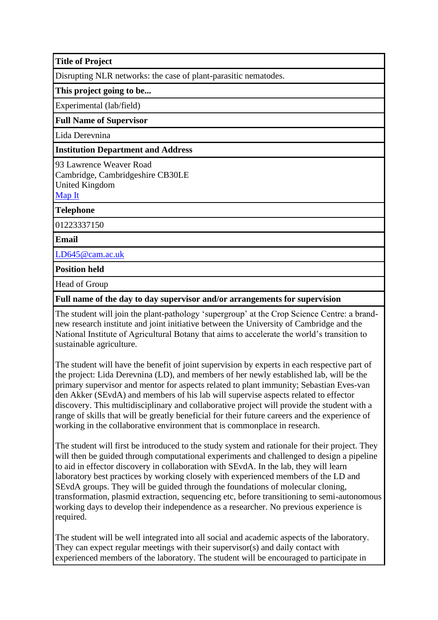**Title of Project**

Disrupting NLR networks: the case of plant-parasitic nematodes.

**This project going to be...**

Experimental (lab/field)

#### **Full Name of Supervisor**

Lida Derevnina

#### **Institution Department and Address**

93 Lawrence Weaver Road Cambridge, Cambridgeshire CB30LE United Kingdom [Map It](http://maps.google.com/maps?q=93+Lawrence+Weaver+Road+Cambridge%2C+Cambridgeshire+CB30LE+United+Kingdom)

**Telephone**

01223337150

**Email**

[LD645@cam.ac.uk](mailto:LD645@cam.ac.uk)

**Position held**

Head of Group

### **Full name of the day to day supervisor and/or arrangements for supervision**

The student will join the plant-pathology 'supergroup' at the Crop Science Centre: a brandnew research institute and joint initiative between the University of Cambridge and the National Institute of Agricultural Botany that aims to accelerate the world's transition to sustainable agriculture.

The student will have the benefit of joint supervision by experts in each respective part of the project: Lida Derevnina (LD), and members of her newly established lab, will be the primary supervisor and mentor for aspects related to plant immunity; Sebastian Eves-van den Akker (SEvdA) and members of his lab will supervise aspects related to effector discovery. This multidisciplinary and collaborative project will provide the student with a range of skills that will be greatly beneficial for their future careers and the experience of working in the collaborative environment that is commonplace in research.

The student will first be introduced to the study system and rationale for their project. They will then be guided through computational experiments and challenged to design a pipeline to aid in effector discovery in collaboration with SEvdA. In the lab, they will learn laboratory best practices by working closely with experienced members of the LD and SEvdA groups. They will be guided through the foundations of molecular cloning, transformation, plasmid extraction, sequencing etc, before transitioning to semi-autonomous working days to develop their independence as a researcher. No previous experience is required.

The student will be well integrated into all social and academic aspects of the laboratory. They can expect regular meetings with their supervisor(s) and daily contact with experienced members of the laboratory. The student will be encouraged to participate in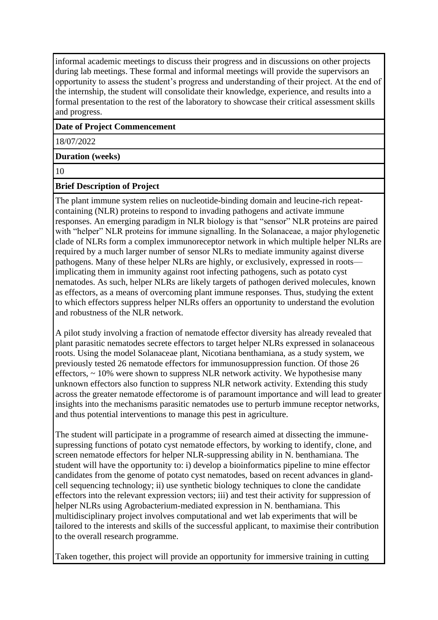informal academic meetings to discuss their progress and in discussions on other projects during lab meetings. These formal and informal meetings will provide the supervisors an opportunity to assess the student's progress and understanding of their project. At the end of the internship, the student will consolidate their knowledge, experience, and results into a formal presentation to the rest of the laboratory to showcase their critical assessment skills and progress.

#### **Date of Project Commencement**

18/07/2022

#### **Duration (weeks)**

10

#### **Brief Description of Project**

The plant immune system relies on nucleotide-binding domain and leucine-rich repeatcontaining (NLR) proteins to respond to invading pathogens and activate immune responses. An emerging paradigm in NLR biology is that "sensor" NLR proteins are paired with "helper" NLR proteins for immune signalling. In the Solanaceae, a major phylogenetic clade of NLRs form a complex immunoreceptor network in which multiple helper NLRs are required by a much larger number of sensor NLRs to mediate immunity against diverse pathogens. Many of these helper NLRs are highly, or exclusively, expressed in roots implicating them in immunity against root infecting pathogens, such as potato cyst nematodes. As such, helper NLRs are likely targets of pathogen derived molecules, known as effectors, as a means of overcoming plant immune responses. Thus, studying the extent to which effectors suppress helper NLRs offers an opportunity to understand the evolution and robustness of the NLR network.

A pilot study involving a fraction of nematode effector diversity has already revealed that plant parasitic nematodes secrete effectors to target helper NLRs expressed in solanaceous roots. Using the model Solanaceae plant, Nicotiana benthamiana, as a study system, we previously tested 26 nematode effectors for immunosuppression function. Of those 26 effectors,  $\sim$  10% were shown to suppress NLR network activity. We hypothesise many unknown effectors also function to suppress NLR network activity. Extending this study across the greater nematode effectorome is of paramount importance and will lead to greater insights into the mechanisms parasitic nematodes use to perturb immune receptor networks, and thus potential interventions to manage this pest in agriculture.

The student will participate in a programme of research aimed at dissecting the immunesupressing functions of potato cyst nematode effectors, by working to identify, clone, and screen nematode effectors for helper NLR-suppressing ability in N. benthamiana. The student will have the opportunity to: i) develop a bioinformatics pipeline to mine effector candidates from the genome of potato cyst nematodes, based on recent advances in glandcell sequencing technology; ii) use synthetic biology techniques to clone the candidate effectors into the relevant expression vectors; iii) and test their activity for suppression of helper NLRs using Agrobacterium-mediated expression in N. benthamiana. This multidisciplinary project involves computational and wet lab experiments that will be tailored to the interests and skills of the successful applicant, to maximise their contribution to the overall research programme.

Taken together, this project will provide an opportunity for immersive training in cutting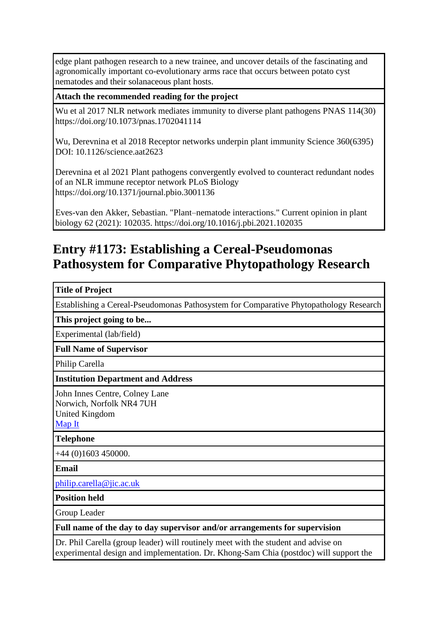edge plant pathogen research to a new trainee, and uncover details of the fascinating and agronomically important co-evolutionary arms race that occurs between potato cyst nematodes and their solanaceous plant hosts.

### **Attach the recommended reading for the project**

Wu et al 2017 NLR network mediates immunity to diverse plant pathogens PNAS 114(30) https://doi.org/10.1073/pnas.1702041114

Wu, Derevnina et al 2018 Receptor networks underpin plant immunity Science 360(6395) DOI: 10.1126/science.aat2623

Derevnina et al 2021 Plant pathogens convergently evolved to counteract redundant nodes of an NLR immune receptor network PLoS Biology https://doi.org/10.1371/journal.pbio.3001136

Eves-van den Akker, Sebastian. "Plant–nematode interactions." Current opinion in plant biology 62 (2021): 102035. https://doi.org/10.1016/j.pbi.2021.102035

## **Entry #1173: Establishing a Cereal-Pseudomonas Pathosystem for Comparative Phytopathology Research**

#### **Title of Project**

Establishing a Cereal-Pseudomonas Pathosystem for Comparative Phytopathology Research

**This project going to be...**

Experimental (lab/field)

**Full Name of Supervisor**

Philip Carella

**Institution Department and Address**

John Innes Centre, Colney Lane Norwich, Norfolk NR4 7UH United Kingdom [Map It](http://maps.google.com/maps?q=John+Innes+Centre%2C+Colney+Lane+Norwich%2C+Norfolk+NR4+7UH+United+Kingdom)

**Telephone**

+44 (0)1603 450000.

**Email**

[philip.carella@jic.ac.uk](mailto:philip.carella@jic.ac.uk)

**Position held**

Group Leader

**Full name of the day to day supervisor and/or arrangements for supervision**

Dr. Phil Carella (group leader) will routinely meet with the student and advise on experimental design and implementation. Dr. Khong-Sam Chia (postdoc) will support the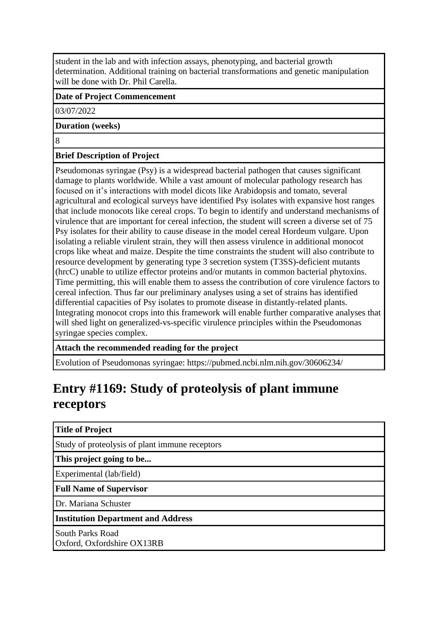student in the lab and with infection assays, phenotyping, and bacterial growth determination. Additional training on bacterial transformations and genetic manipulation will be done with Dr. Phil Carella.

### **Date of Project Commencement**

03/07/2022

#### **Duration (weeks)**

8

## **Brief Description of Project**

Pseudomonas syringae (Psy) is a widespread bacterial pathogen that causes significant damage to plants worldwide. While a vast amount of molecular pathology research has focused on it's interactions with model dicots like Arabidopsis and tomato, several agricultural and ecological surveys have identified Psy isolates with expansive host ranges that include monocots like cereal crops. To begin to identify and understand mechanisms of virulence that are important for cereal infection, the student will screen a diverse set of 75 Psy isolates for their ability to cause disease in the model cereal Hordeum vulgare. Upon isolating a reliable virulent strain, they will then assess virulence in additional monocot crops like wheat and maize. Despite the time constraints the student will also contribute to resource development by generating type 3 secretion system (T3SS)-deficient mutants (hrcC) unable to utilize effector proteins and/or mutants in common bacterial phytoxins. Time permitting, this will enable them to assess the contribution of core virulence factors to cereal infection. Thus far our preliminary analyses using a set of strains has identified differential capacities of Psy isolates to promote disease in distantly-related plants. Integrating monocot crops into this framework will enable further comparative analyses that will shed light on generalized-vs-specific virulence principles within the Pseudomonas syringae species complex.

**Attach the recommended reading for the project**

Evolution of Pseudomonas syringae: https://pubmed.ncbi.nlm.nih.gov/30606234/

# **Entry #1169: Study of proteolysis of plant immune receptors**

#### **Title of Project**

Study of proteolysis of plant immune receptors

**This project going to be...**

Experimental (lab/field)

**Full Name of Supervisor**

Dr. Mariana Schuster

**Institution Department and Address**

South Parks Road Oxford, Oxfordshire OX13RB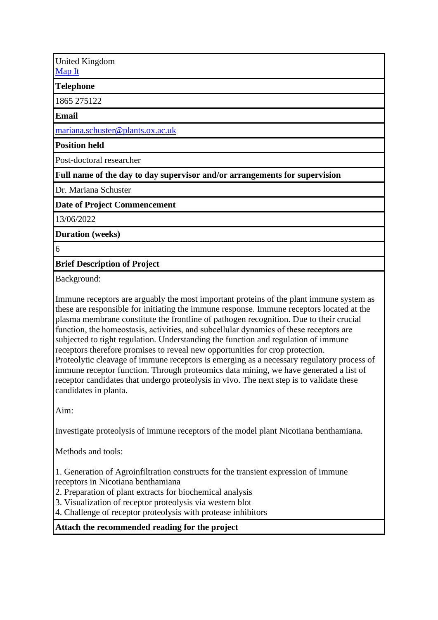United Kingdom [Map It](http://maps.google.com/maps?q=South+Parks+Road+Oxford%2C+Oxfordshire+OX13RB+United+Kingdom)

**Telephone**

1865 275122

**Email**

[mariana.schuster@plants.ox.ac.uk](mailto:mariana.schuster@plants.ox.ac.uk)

**Position held**

Post-doctoral researcher

**Full name of the day to day supervisor and/or arrangements for supervision**

Dr. Mariana Schuster

**Date of Project Commencement**

13/06/2022

**Duration (weeks)**

6

**Brief Description of Project**

Background:

Immune receptors are arguably the most important proteins of the plant immune system as these are responsible for initiating the immune response. Immune receptors located at the plasma membrane constitute the frontline of pathogen recognition. Due to their crucial function, the homeostasis, activities, and subcellular dynamics of these receptors are subjected to tight regulation. Understanding the function and regulation of immune receptors therefore promises to reveal new opportunities for crop protection. Proteolytic cleavage of immune receptors is emerging as a necessary regulatory process of immune receptor function. Through proteomics data mining, we have generated a list of receptor candidates that undergo proteolysis in vivo. The next step is to validate these candidates in planta.

Aim:

Investigate proteolysis of immune receptors of the model plant Nicotiana benthamiana.

Methods and tools:

1. Generation of Agroinfiltration constructs for the transient expression of immune receptors in Nicotiana benthamiana

2. Preparation of plant extracts for biochemical analysis

3. Visualization of receptor proteolysis via western blot

4. Challenge of receptor proteolysis with protease inhibitors

**Attach the recommended reading for the project**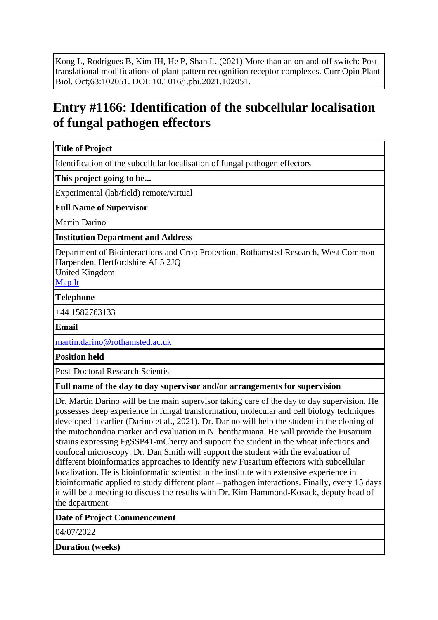Kong L, Rodrigues B, Kim JH, He P, Shan L. (2021) More than an on-and-off switch: Posttranslational modifications of plant pattern recognition receptor complexes. Curr Opin Plant Biol. Oct;63:102051. DOI: 10.1016/j.pbi.2021.102051.

# **Entry #1166: Identification of the subcellular localisation of fungal pathogen effectors**

### **Title of Project**

Identification of the subcellular localisation of fungal pathogen effectors

**This project going to be...**

Experimental (lab/field) remote/virtual

**Full Name of Supervisor**

Martin Darino

**Institution Department and Address**

Department of Biointeractions and Crop Protection, Rothamsted Research, West Common Harpenden, Hertfordshire AL5 2JQ

United Kingdom

[Map It](http://maps.google.com/maps?q=Department+of+Biointeractions+and+Crop+Protection%2C+Rothamsted+Research%2C+West+Common+Harpenden%2C+Hertfordshire+AL5+2JQ+United+Kingdom)

**Telephone**

+44 1582763133

**Email**

[martin.darino@rothamsted.ac.uk](mailto:martin.darino@rothamsted.ac.uk)

**Position held**

Post-Doctoral Research Scientist

**Full name of the day to day supervisor and/or arrangements for supervision**

Dr. Martin Darino will be the main supervisor taking care of the day to day supervision. He possesses deep experience in fungal transformation, molecular and cell biology techniques developed it earlier (Darino et al., 2021). Dr. Darino will help the student in the cloning of the mitochondria marker and evaluation in N. benthamiana. He will provide the Fusarium strains expressing FgSSP41-mCherry and support the student in the wheat infections and confocal microscopy. Dr. Dan Smith will support the student with the evaluation of different bioinformatics approaches to identify new Fusarium effectors with subcellular localization. He is bioinformatic scientist in the institute with extensive experience in bioinformatic applied to study different plant – pathogen interactions. Finally, every 15 days it will be a meeting to discuss the results with Dr. Kim Hammond-Kosack, deputy head of the department.

#### **Date of Project Commencement**

04/07/2022

**Duration (weeks)**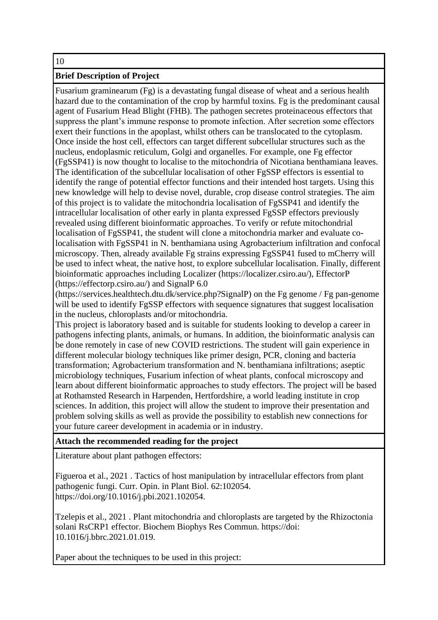#### 10

### **Brief Description of Project**

Fusarium graminearum (Fg) is a devastating fungal disease of wheat and a serious health hazard due to the contamination of the crop by harmful toxins. Fg is the predominant causal agent of Fusarium Head Blight (FHB). The pathogen secretes proteinaceous effectors that suppress the plant's immune response to promote infection. After secretion some effectors exert their functions in the apoplast, whilst others can be translocated to the cytoplasm. Once inside the host cell, effectors can target different subcellular structures such as the nucleus, endoplasmic reticulum, Golgi and organelles. For example, one Fg effector (FgSSP41) is now thought to localise to the mitochondria of Nicotiana benthamiana leaves. The identification of the subcellular localisation of other FgSSP effectors is essential to identify the range of potential effector functions and their intended host targets. Using this new knowledge will help to devise novel, durable, crop disease control strategies. The aim of this project is to validate the mitochondria localisation of FgSSP41 and identify the intracellular localisation of other early in planta expressed FgSSP effectors previously revealed using different bioinformatic approaches. To verify or refute mitochondrial localisation of FgSSP41, the student will clone a mitochondria marker and evaluate colocalisation with FgSSP41 in N. benthamiana using Agrobacterium infiltration and confocal microscopy. Then, already available Fg strains expressing FgSSP41 fused to mCherry will be used to infect wheat, the native host, to explore subcellular localisation. Finally, different bioinformatic approaches including Localizer (https://localizer.csiro.au/), EffectorP (https://effectorp.csiro.au/) and SignalP 6.0

(https://services.healthtech.dtu.dk/service.php?SignalP) on the Fg genome / Fg pan-genome will be used to identify FgSSP effectors with sequence signatures that suggest localisation in the nucleus, chloroplasts and/or mitochondria.

This project is laboratory based and is suitable for students looking to develop a career in pathogens infecting plants, animals, or humans. In addition, the bioinformatic analysis can be done remotely in case of new COVID restrictions. The student will gain experience in different molecular biology techniques like primer design, PCR, cloning and bacteria transformation; Agrobacterium transformation and N. benthamiana infiltrations; aseptic microbiology techniques, Fusarium infection of wheat plants, confocal microscopy and learn about different bioinformatic approaches to study effectors. The project will be based at Rothamsted Research in Harpenden, Hertfordshire, a world leading institute in crop sciences. In addition, this project will allow the student to improve their presentation and problem solving skills as well as provide the possibility to establish new connections for your future career development in academia or in industry.

#### **Attach the recommended reading for the project**

Literature about plant pathogen effectors:

Figueroa et al., 2021 . Tactics of host manipulation by intracellular effectors from plant pathogenic fungi. Curr. Opin. in Plant Biol. 62:102054. https://doi.org/10.1016/j.pbi.2021.102054.

Tzelepis et al., 2021 . Plant mitochondria and chloroplasts are targeted by the Rhizoctonia solani RsCRP1 effector. Biochem Biophys Res Commun. https://doi: 10.1016/j.bbrc.2021.01.019.

Paper about the techniques to be used in this project: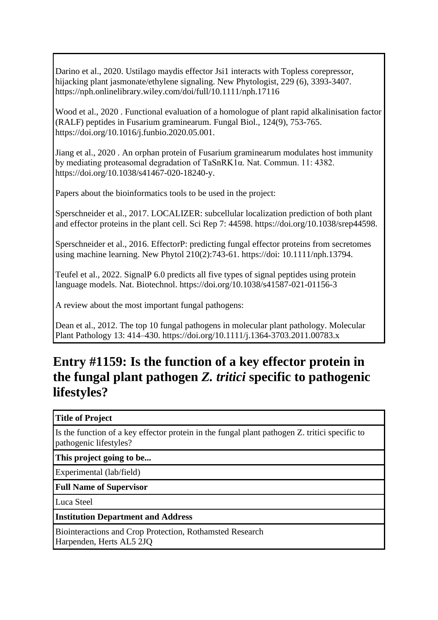Darino et al., 2020. Ustilago maydis effector Jsi1 interacts with Topless corepressor, hijacking plant jasmonate/ethylene signaling. New Phytologist, 229 (6), 3393-3407. https://nph.onlinelibrary.wiley.com/doi/full/10.1111/nph.17116

Wood et al., 2020 . Functional evaluation of a homologue of plant rapid alkalinisation factor (RALF) peptides in Fusarium graminearum. Fungal Biol., 124(9), 753-765. https://doi.org/10.1016/j.funbio.2020.05.001.

Jiang et al., 2020 . An orphan protein of Fusarium graminearum modulates host immunity by mediating proteasomal degradation of TaSnRK1α. Nat. Commun. 11: 4382. https://doi.org/10.1038/s41467-020-18240-y.

Papers about the bioinformatics tools to be used in the project:

Sperschneider et al., 2017. LOCALIZER: subcellular localization prediction of both plant and effector proteins in the plant cell. Sci Rep 7: 44598. https://doi.org/10.1038/srep44598.

Sperschneider et al., 2016. EffectorP: predicting fungal effector proteins from secretomes using machine learning. New Phytol 210(2):743-61. https://doi: 10.1111/nph.13794.

Teufel et al., 2022. SignalP 6.0 predicts all five types of signal peptides using protein language models. Nat. Biotechnol. https://doi.org/10.1038/s41587-021-01156-3

A review about the most important fungal pathogens:

Dean et al., 2012. The top 10 fungal pathogens in molecular plant pathology. Molecular Plant Pathology 13: 414–430. https://doi.org/10.1111/j.1364-3703.2011.00783.x

## **Entry #1159: Is the function of a key effector protein in the fungal plant pathogen** *Z. tritici* **specific to pathogenic lifestyles?**

#### **Title of Project**

Is the function of a key effector protein in the fungal plant pathogen Z. tritici specific to pathogenic lifestyles?

**This project going to be...**

Experimental (lab/field)

**Full Name of Supervisor**

Luca Steel

**Institution Department and Address**

Biointeractions and Crop Protection, Rothamsted Research Harpenden, Herts AL5 2JQ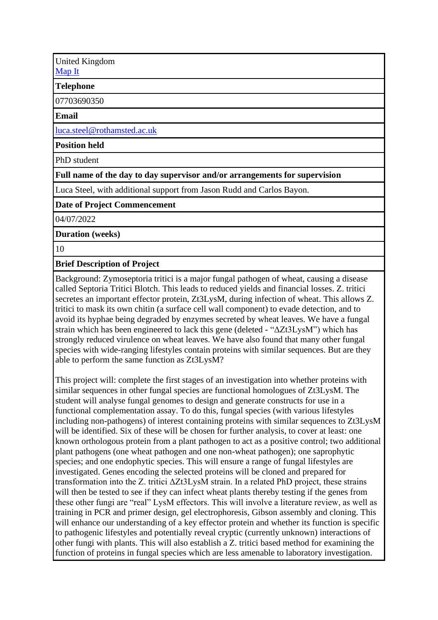United Kingdom [Map It](http://maps.google.com/maps?q=Biointeractions+and+Crop+Protection%2C+Rothamsted+Research+Harpenden%2C+Herts+AL5+2JQ+United+Kingdom)

**Telephone**

07703690350

#### **Email**

[luca.steel@rothamsted.ac.uk](mailto:luca.steel@rothamsted.ac.uk)

**Position held**

PhD student

**Full name of the day to day supervisor and/or arrangements for supervision**

Luca Steel, with additional support from Jason Rudd and Carlos Bayon.

#### **Date of Project Commencement**

04/07/2022

**Duration (weeks)**

10

**Brief Description of Project**

Background: Zymoseptoria tritici is a major fungal pathogen of wheat, causing a disease called Septoria Tritici Blotch. This leads to reduced yields and financial losses. Z. tritici secretes an important effector protein, Zt3LysM, during infection of wheat. This allows Z. tritici to mask its own chitin (a surface cell wall component) to evade detection, and to avoid its hyphae being degraded by enzymes secreted by wheat leaves. We have a fungal strain which has been engineered to lack this gene (deleted - "ΔZt3LysM") which has strongly reduced virulence on wheat leaves. We have also found that many other fungal species with wide-ranging lifestyles contain proteins with similar sequences. But are they able to perform the same function as Zt3LysM?

This project will: complete the first stages of an investigation into whether proteins with similar sequences in other fungal species are functional homologues of Zt3LysM. The student will analyse fungal genomes to design and generate constructs for use in a functional complementation assay. To do this, fungal species (with various lifestyles including non-pathogens) of interest containing proteins with similar sequences to Zt3LysM will be identified. Six of these will be chosen for further analysis, to cover at least: one known orthologous protein from a plant pathogen to act as a positive control; two additional plant pathogens (one wheat pathogen and one non-wheat pathogen); one saprophytic species; and one endophytic species. This will ensure a range of fungal lifestyles are investigated. Genes encoding the selected proteins will be cloned and prepared for transformation into the Z. tritici ΔZt3LysM strain. In a related PhD project, these strains will then be tested to see if they can infect wheat plants thereby testing if the genes from these other fungi are "real" LysM effectors. This will involve a literature review, as well as training in PCR and primer design, gel electrophoresis, Gibson assembly and cloning. This will enhance our understanding of a key effector protein and whether its function is specific to pathogenic lifestyles and potentially reveal cryptic (currently unknown) interactions of other fungi with plants. This will also establish a Z. tritici based method for examining the function of proteins in fungal species which are less amenable to laboratory investigation.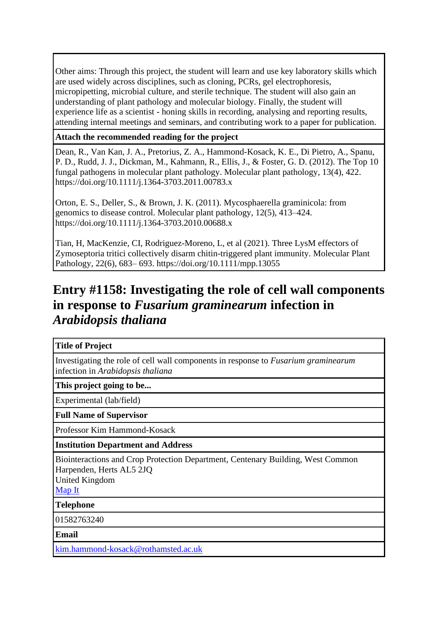Other aims: Through this project, the student will learn and use key laboratory skills which are used widely across disciplines, such as cloning, PCRs, gel electrophoresis, micropipetting, microbial culture, and sterile technique. The student will also gain an understanding of plant pathology and molecular biology. Finally, the student will experience life as a scientist - honing skills in recording, analysing and reporting results, attending internal meetings and seminars, and contributing work to a paper for publication.

### **Attach the recommended reading for the project**

Dean, R., Van Kan, J. A., Pretorius, Z. A., Hammond-Kosack, K. E., Di Pietro, A., Spanu, P. D., Rudd, J. J., Dickman, M., Kahmann, R., Ellis, J., & Foster, G. D. (2012). The Top 10 fungal pathogens in molecular plant pathology. Molecular plant pathology, 13(4), 422. https://doi.org/10.1111/j.1364-3703.2011.00783.x

Orton, E. S., Deller, S., & Brown, J. K. (2011). Mycosphaerella graminicola: from genomics to disease control. Molecular plant pathology, 12(5), 413–424. https://doi.org/10.1111/j.1364-3703.2010.00688.x

Tian, H, MacKenzie, CI, Rodriguez-Moreno, L, et al (2021). Three LysM effectors of Zymoseptoria tritici collectively disarm chitin-triggered plant immunity. Molecular Plant Pathology, 22(6), 683– 693. https://doi.org/10.1111/mpp.13055

## **Entry #1158: Investigating the role of cell wall components in response to** *Fusarium graminearum* **infection in**  *Arabidopsis thaliana*

#### **Title of Project**

Investigating the role of cell wall components in response to *Fusarium graminearum*  infection in *Arabidopsis thaliana*

**This project going to be...**

Experimental (lab/field)

**Full Name of Supervisor**

Professor Kim Hammond-Kosack

**Institution Department and Address**

Biointeractions and Crop Protection Department, Centenary Building, West Common Harpenden, Herts AL5 2JQ

United Kingdom

[Map It](http://maps.google.com/maps?q=Biointeractions+and+Crop+Protection+Department%2C++Centenary+Building%2C+West+Common+Harpenden%2C+Herts+AL5+2JQ+United+Kingdom)

**Telephone**

01582763240

**Email**

[kim.hammond-kosack@rothamsted.ac.uk](mailto:kim.hammond-kosack@rothamsted.ac.uk)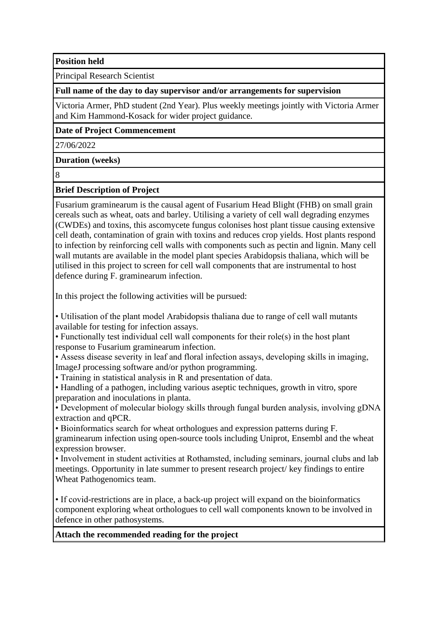**Position held**

Principal Research Scientist

**Full name of the day to day supervisor and/or arrangements for supervision**

Victoria Armer, PhD student (2nd Year). Plus weekly meetings jointly with Victoria Armer and Kim Hammond-Kosack for wider project guidance.

**Date of Project Commencement**

27/06/2022

**Duration (weeks)**

8

#### **Brief Description of Project**

Fusarium graminearum is the causal agent of Fusarium Head Blight (FHB) on small grain cereals such as wheat, oats and barley. Utilising a variety of cell wall degrading enzymes (CWDEs) and toxins, this ascomycete fungus colonises host plant tissue causing extensive cell death, contamination of grain with toxins and reduces crop yields. Host plants respond to infection by reinforcing cell walls with components such as pectin and lignin. Many cell wall mutants are available in the model plant species Arabidopsis thaliana, which will be utilised in this project to screen for cell wall components that are instrumental to host defence during F. graminearum infection.

In this project the following activities will be pursued:

• Utilisation of the plant model Arabidopsis thaliana due to range of cell wall mutants available for testing for infection assays.

• Functionally test individual cell wall components for their role(s) in the host plant response to Fusarium graminearum infection.

• Assess disease severity in leaf and floral infection assays, developing skills in imaging, ImageJ processing software and/or python programming.

• Training in statistical analysis in R and presentation of data.

• Handling of a pathogen, including various aseptic techniques, growth in vitro, spore preparation and inoculations in planta.

• Development of molecular biology skills through fungal burden analysis, involving gDNA extraction and qPCR.

• Bioinformatics search for wheat orthologues and expression patterns during F. graminearum infection using open-source tools including Uniprot, Ensembl and the wheat

expression browser. • Involvement in student activities at Rothamsted, including seminars, journal clubs and lab

meetings. Opportunity in late summer to present research project/ key findings to entire Wheat Pathogenomics team.

• If covid-restrictions are in place, a back-up project will expand on the bioinformatics component exploring wheat orthologues to cell wall components known to be involved in defence in other pathosystems.

**Attach the recommended reading for the project**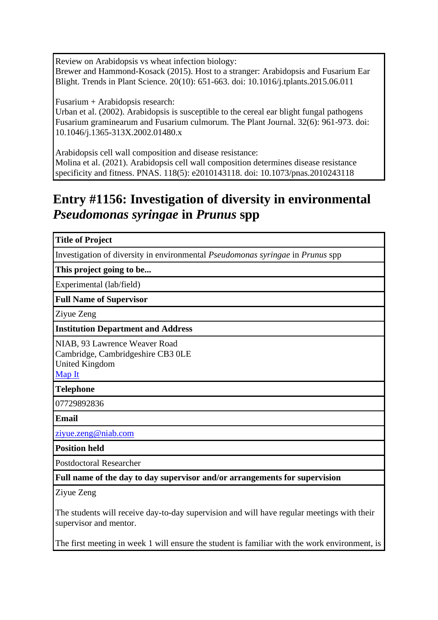Review on Arabidopsis vs wheat infection biology: Brewer and Hammond-Kosack (2015). Host to a stranger: Arabidopsis and Fusarium Ear Blight. Trends in Plant Science. 20(10): 651-663. doi: 10.1016/j.tplants.2015.06.011

Fusarium + Arabidopsis research:

Urban et al. (2002). Arabidopsis is susceptible to the cereal ear blight fungal pathogens Fusarium graminearum and Fusarium culmorum. The Plant Journal. 32(6): 961-973. doi: 10.1046/j.1365-313X.2002.01480.x

Arabidopsis cell wall composition and disease resistance: Molina et al. (2021). Arabidopsis cell wall composition determines disease resistance specificity and fitness. PNAS. 118(5): e2010143118. doi: 10.1073/pnas.2010243118

## **Entry #1156: Investigation of diversity in environmental**  *Pseudomonas syringae* **in** *Prunus* **spp**

| <b>Title of Project</b>                                                                                              |
|----------------------------------------------------------------------------------------------------------------------|
| Investigation of diversity in environmental <i>Pseudomonas syringae</i> in <i>Prunus</i> spp                         |
| This project going to be                                                                                             |
| Experimental (lab/field)                                                                                             |
| <b>Full Name of Supervisor</b>                                                                                       |
| Ziyue Zeng                                                                                                           |
| <b>Institution Department and Address</b>                                                                            |
| NIAB, 93 Lawrence Weaver Road<br>Cambridge, Cambridgeshire CB3 OLE<br><b>United Kingdom</b><br>Map It                |
| <b>Telephone</b>                                                                                                     |
| 07729892836                                                                                                          |
| <b>Email</b>                                                                                                         |
| ziyue.zeng@niab.com                                                                                                  |
| <b>Position held</b>                                                                                                 |
| <b>Postdoctoral Researcher</b>                                                                                       |
| Full name of the day to day supervisor and/or arrangements for supervision                                           |
| Ziyue Zeng                                                                                                           |
| The students will receive day-to-day supervision and will have regular meetings with their<br>supervisor and mentor. |
| The first meeting in week 1 will ensure the student is familiar with the work environment, is                        |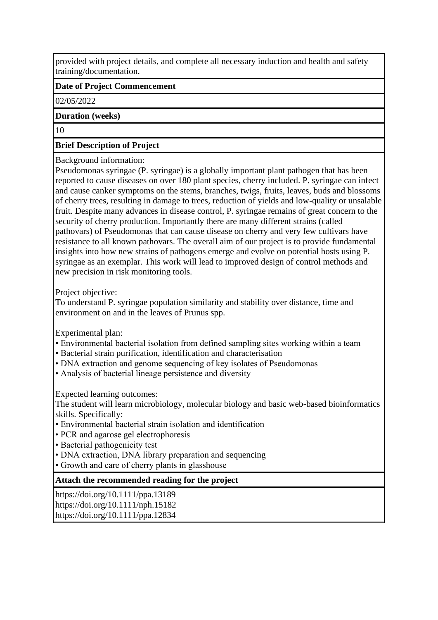provided with project details, and complete all necessary induction and health and safety training/documentation.

### **Date of Project Commencement**

02/05/2022

#### **Duration (weeks)**

10

### **Brief Description of Project**

#### Background information:

Pseudomonas syringae (P. syringae) is a globally important plant pathogen that has been reported to cause diseases on over 180 plant species, cherry included. P. syringae can infect and cause canker symptoms on the stems, branches, twigs, fruits, leaves, buds and blossoms of cherry trees, resulting in damage to trees, reduction of yields and low-quality or unsalable fruit. Despite many advances in disease control, P. syringae remains of great concern to the security of cherry production. Importantly there are many different strains (called pathovars) of Pseudomonas that can cause disease on cherry and very few cultivars have resistance to all known pathovars. The overall aim of our project is to provide fundamental insights into how new strains of pathogens emerge and evolve on potential hosts using P. syringae as an exemplar. This work will lead to improved design of control methods and new precision in risk monitoring tools.

### Project objective:

To understand P. syringae population similarity and stability over distance, time and environment on and in the leaves of Prunus spp.

Experimental plan:

- Environmental bacterial isolation from defined sampling sites working within a team
- Bacterial strain purification, identification and characterisation
- DNA extraction and genome sequencing of key isolates of Pseudomonas
- Analysis of bacterial lineage persistence and diversity

Expected learning outcomes:

The student will learn microbiology, molecular biology and basic web-based bioinformatics skills. Specifically:

- Environmental bacterial strain isolation and identification
- PCR and agarose gel electrophoresis
- Bacterial pathogenicity test
- DNA extraction, DNA library preparation and sequencing
- Growth and care of cherry plants in glasshouse

## **Attach the recommended reading for the project**

https://doi.org/10.1111/ppa.13189 https://doi.org/10.1111/nph.15182 https://doi.org/10.1111/ppa.12834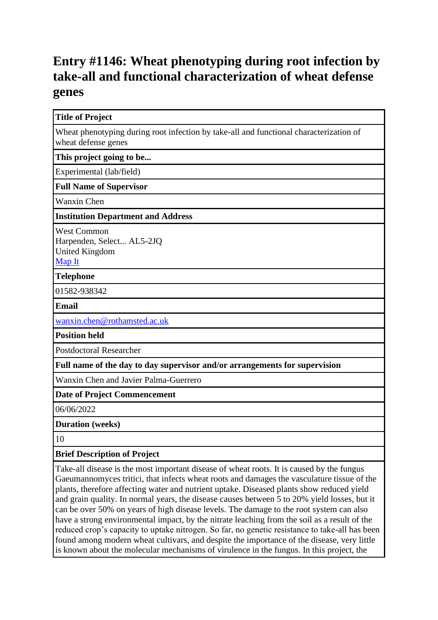## **Entry #1146: Wheat phenotyping during root infection by take-all and functional characterization of wheat defense genes**

| <b>Title of Project</b>                                                                                       |
|---------------------------------------------------------------------------------------------------------------|
| Wheat phenotyping during root infection by take-all and functional characterization of<br>wheat defense genes |
| This project going to be                                                                                      |
| Experimental (lab/field)                                                                                      |
| <b>Full Name of Supervisor</b>                                                                                |
| <b>Wanxin Chen</b>                                                                                            |
| <b>Institution Department and Address</b>                                                                     |
| <b>West Common</b><br>Harpenden, Select AL5-2JQ<br><b>United Kingdom</b><br>Map It                            |
| <b>Telephone</b>                                                                                              |
| 01582-938342                                                                                                  |
| <b>Email</b>                                                                                                  |
| wanxin.chen@rothamsted.ac.uk                                                                                  |
| <b>Position held</b>                                                                                          |
| <b>Postdoctoral Researcher</b>                                                                                |
| Full name of the day to day supervisor and/or arrangements for supervision                                    |
| Wanxin Chen and Javier Palma-Guerrero                                                                         |
| <b>Date of Project Commencement</b>                                                                           |
| 06/06/2022                                                                                                    |
| <b>Duration</b> (weeks)                                                                                       |
| 10                                                                                                            |
| <b>Brief Description of Project</b>                                                                           |

Take-all disease is the most important disease of wheat roots. It is caused by the fungus Gaeumannomyces tritici, that infects wheat roots and damages the vasculature tissue of the plants, therefore affecting water and nutrient uptake. Diseased plants show reduced yield and grain quality. In normal years, the disease causes between 5 to 20% yield losses, but it can be over 50% on years of high disease levels. The damage to the root system can also have a strong environmental impact, by the nitrate leaching from the soil as a result of the reduced crop's capacity to uptake nitrogen. So far, no genetic resistance to take-all has been found among modern wheat cultivars, and despite the importance of the disease, very little is known about the molecular mechanisms of virulence in the fungus. In this project, the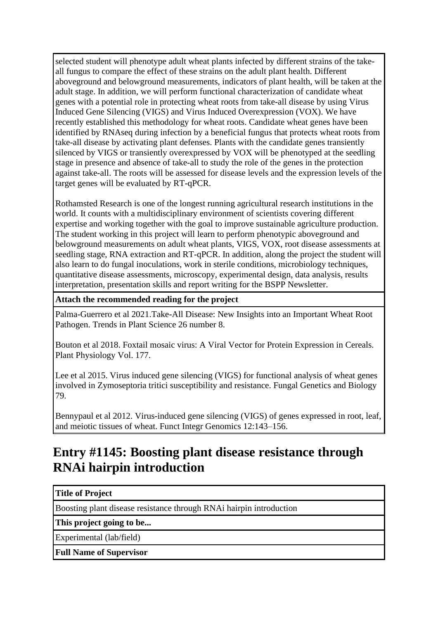selected student will phenotype adult wheat plants infected by different strains of the takeall fungus to compare the effect of these strains on the adult plant health. Different aboveground and belowground measurements, indicators of plant health, will be taken at the adult stage. In addition, we will perform functional characterization of candidate wheat genes with a potential role in protecting wheat roots from take-all disease by using Virus Induced Gene Silencing (VIGS) and Virus Induced Overexpression (VOX). We have recently established this methodology for wheat roots. Candidate wheat genes have been identified by RNAseq during infection by a beneficial fungus that protects wheat roots from take-all disease by activating plant defenses. Plants with the candidate genes transiently silenced by VIGS or transiently overexpressed by VOX will be phenotyped at the seedling stage in presence and absence of take-all to study the role of the genes in the protection against take-all. The roots will be assessed for disease levels and the expression levels of the target genes will be evaluated by RT-qPCR.

Rothamsted Research is one of the longest running agricultural research institutions in the world. It counts with a multidisciplinary environment of scientists covering different expertise and working together with the goal to improve sustainable agriculture production. The student working in this project will learn to perform phenotypic aboveground and belowground measurements on adult wheat plants, VIGS, VOX, root disease assessments at seedling stage, RNA extraction and RT-qPCR. In addition, along the project the student will also learn to do fungal inoculations, work in sterile conditions, microbiology techniques, quantitative disease assessments, microscopy, experimental design, data analysis, results interpretation, presentation skills and report writing for the BSPP Newsletter.

### **Attach the recommended reading for the project**

Palma-Guerrero et al 2021.Take-All Disease: New Insights into an Important Wheat Root Pathogen. Trends in Plant Science 26 number 8.

Bouton et al 2018. Foxtail mosaic virus: A Viral Vector for Protein Expression in Cereals. Plant Physiology Vol. 177.

Lee et al 2015. Virus induced gene silencing (VIGS) for functional analysis of wheat genes involved in Zymoseptoria tritici susceptibility and resistance. Fungal Genetics and Biology 79.

Bennypaul et al 2012. Virus-induced gene silencing (VIGS) of genes expressed in root, leaf, and meiotic tissues of wheat. Funct Integr Genomics 12:143–156.

## **Entry #1145: Boosting plant disease resistance through RNAi hairpin introduction**

#### **Title of Project**

Boosting plant disease resistance through RNAi hairpin introduction

**This project going to be...**

Experimental (lab/field)

**Full Name of Supervisor**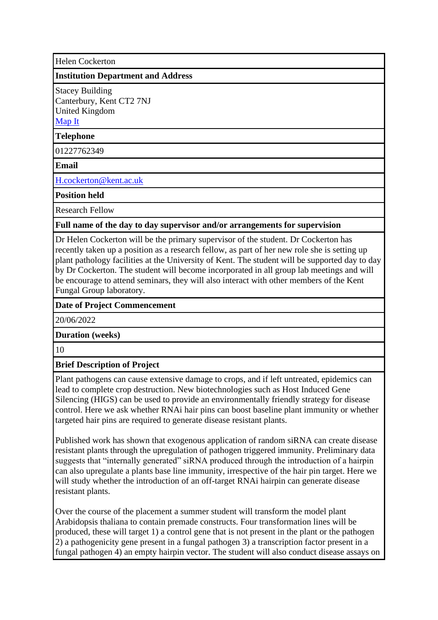Helen Cockerton

#### **Institution Department and Address**

Stacey Building Canterbury, Kent CT2 7NJ United Kingdom [Map It](http://maps.google.com/maps?q=Stacey+Building+Canterbury%2C+Kent+CT2+7NJ+United+Kingdom)

#### **Telephone**

01227762349

**Email**

[H.cockerton@kent.ac.uk](mailto:H.cockerton@kent.ac.uk)

**Position held**

Research Fellow

#### **Full name of the day to day supervisor and/or arrangements for supervision**

Dr Helen Cockerton will be the primary supervisor of the student. Dr Cockerton has recently taken up a position as a research fellow, as part of her new role she is setting up plant pathology facilities at the University of Kent. The student will be supported day to day by Dr Cockerton. The student will become incorporated in all group lab meetings and will be encourage to attend seminars, they will also interact with other members of the Kent Fungal Group laboratory.

#### **Date of Project Commencement**

20/06/2022

**Duration (weeks)**

10

#### **Brief Description of Project**

Plant pathogens can cause extensive damage to crops, and if left untreated, epidemics can lead to complete crop destruction. New biotechnologies such as Host Induced Gene Silencing (HIGS) can be used to provide an environmentally friendly strategy for disease control. Here we ask whether RNAi hair pins can boost baseline plant immunity or whether targeted hair pins are required to generate disease resistant plants.

Published work has shown that exogenous application of random siRNA can create disease resistant plants through the upregulation of pathogen triggered immunity. Preliminary data suggests that "internally generated" siRNA produced through the introduction of a hairpin can also upregulate a plants base line immunity, irrespective of the hair pin target. Here we will study whether the introduction of an off-target RNAi hairpin can generate disease resistant plants.

Over the course of the placement a summer student will transform the model plant Arabidopsis thaliana to contain premade constructs. Four transformation lines will be produced, these will target 1) a control gene that is not present in the plant or the pathogen 2) a pathogenicity gene present in a fungal pathogen 3) a transcription factor present in a fungal pathogen 4) an empty hairpin vector. The student will also conduct disease assays on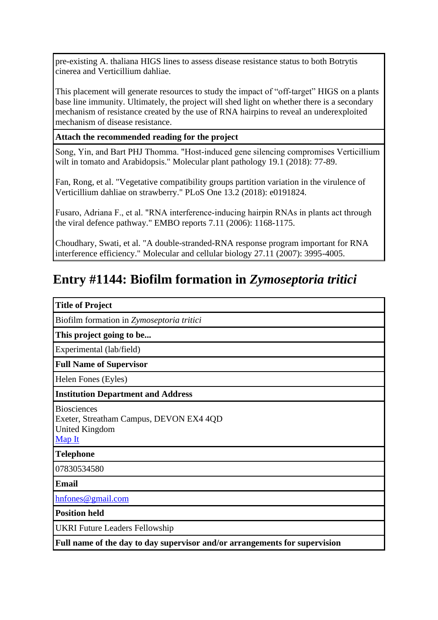pre-existing A. thaliana HIGS lines to assess disease resistance status to both Botrytis cinerea and Verticillium dahliae.

This placement will generate resources to study the impact of "off-target" HIGS on a plants base line immunity. Ultimately, the project will shed light on whether there is a secondary mechanism of resistance created by the use of RNA hairpins to reveal an underexploited mechanism of disease resistance.

### **Attach the recommended reading for the project**

Song, Yin, and Bart PHJ Thomma. "Host‐induced gene silencing compromises Verticillium wilt in tomato and Arabidopsis." Molecular plant pathology 19.1 (2018): 77-89.

Fan, Rong, et al. "Vegetative compatibility groups partition variation in the virulence of Verticillium dahliae on strawberry." PLoS One 13.2 (2018): e0191824.

Fusaro, Adriana F., et al. "RNA interference‐inducing hairpin RNAs in plants act through the viral defence pathway." EMBO reports 7.11 (2006): 1168-1175.

Choudhary, Swati, et al. "A double-stranded-RNA response program important for RNA interference efficiency." Molecular and cellular biology 27.11 (2007): 3995-4005.

# **Entry #1144: Biofilm formation in** *Zymoseptoria tritici*

| <b>Title of Project</b>                                                                   |
|-------------------------------------------------------------------------------------------|
| Biofilm formation in Zymoseptoria tritici                                                 |
| This project going to be                                                                  |
| Experimental (lab/field)                                                                  |
| <b>Full Name of Supervisor</b>                                                            |
| Helen Fones (Eyles)                                                                       |
| <b>Institution Department and Address</b>                                                 |
| <b>Biosciences</b><br>Exeter, Streatham Campus, DEVON EX4 4QD<br>United Kingdom<br>Map It |
| <b>Telephone</b>                                                                          |
| 07830534580                                                                               |
| <b>Email</b>                                                                              |
| hnfones@gmail.com                                                                         |
| <b>Position held</b>                                                                      |
| <b>UKRI Future Leaders Fellowship</b>                                                     |
| Full name of the day to day supervisor and/or arrangements for supervision                |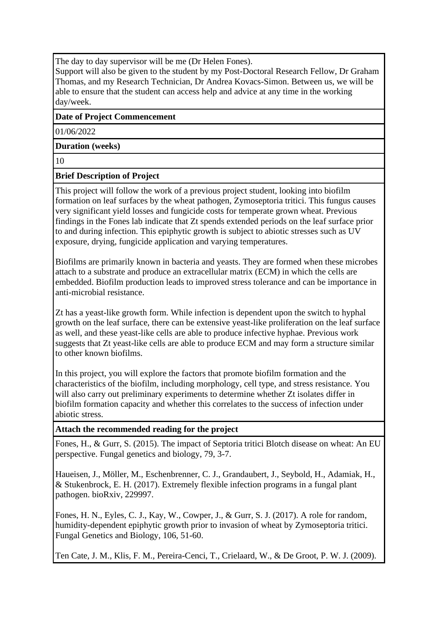The day to day supervisor will be me (Dr Helen Fones).

Support will also be given to the student by my Post-Doctoral Research Fellow, Dr Graham Thomas, and my Research Technician, Dr Andrea Kovacs-Simon. Between us, we will be able to ensure that the student can access help and advice at any time in the working day/week.

### **Date of Project Commencement**

01/06/2022

### **Duration (weeks)**

10

### **Brief Description of Project**

This project will follow the work of a previous project student, looking into biofilm formation on leaf surfaces by the wheat pathogen, Zymoseptoria tritici. This fungus causes very significant yield losses and fungicide costs for temperate grown wheat. Previous findings in the Fones lab indicate that Zt spends extended periods on the leaf surface prior to and during infection. This epiphytic growth is subject to abiotic stresses such as UV exposure, drying, fungicide application and varying temperatures.

Biofilms are primarily known in bacteria and yeasts. They are formed when these microbes attach to a substrate and produce an extracellular matrix (ECM) in which the cells are embedded. Biofilm production leads to improved stress tolerance and can be importance in anti-microbial resistance.

Zt has a yeast-like growth form. While infection is dependent upon the switch to hyphal growth on the leaf surface, there can be extensive yeast-like proliferation on the leaf surface as well, and these yeast-like cells are able to produce infective hyphae. Previous work suggests that Zt yeast-like cells are able to produce ECM and may form a structure similar to other known biofilms.

In this project, you will explore the factors that promote biofilm formation and the characteristics of the biofilm, including morphology, cell type, and stress resistance. You will also carry out preliminary experiments to determine whether Zt isolates differ in biofilm formation capacity and whether this correlates to the success of infection under abiotic stress.

#### **Attach the recommended reading for the project**

Fones, H., & Gurr, S. (2015). The impact of Septoria tritici Blotch disease on wheat: An EU perspective. Fungal genetics and biology, 79, 3-7.

Haueisen, J., Möller, M., Eschenbrenner, C. J., Grandaubert, J., Seybold, H., Adamiak, H., & Stukenbrock, E. H. (2017). Extremely flexible infection programs in a fungal plant pathogen. bioRxiv, 229997.

Fones, H. N., Eyles, C. J., Kay, W., Cowper, J., & Gurr, S. J. (2017). A role for random, humidity-dependent epiphytic growth prior to invasion of wheat by Zymoseptoria tritici. Fungal Genetics and Biology, 106, 51-60.

Ten Cate, J. M., Klis, F. M., Pereira-Cenci, T., Crielaard, W., & De Groot, P. W. J. (2009).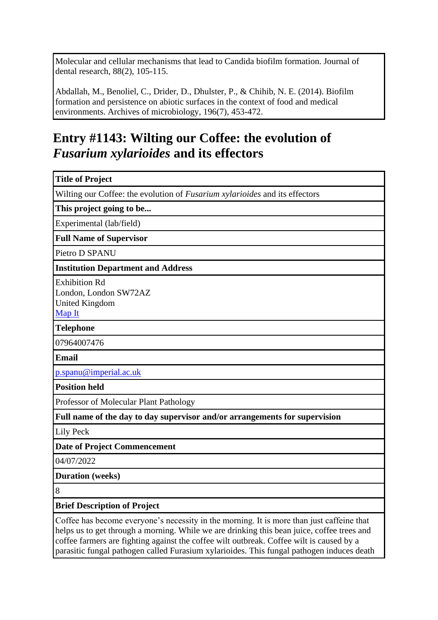Molecular and cellular mechanisms that lead to Candida biofilm formation. Journal of dental research, 88(2), 105-115.

Abdallah, M., Benoliel, C., Drider, D., Dhulster, P., & Chihib, N. E. (2014). Biofilm formation and persistence on abiotic surfaces in the context of food and medical environments. Archives of microbiology, 196(7), 453-472.

# **Entry #1143: Wilting our Coffee: the evolution of**  *Fusarium xylarioides* **and its effectors**

| <b>Title of Project</b>                                                                   |
|-------------------------------------------------------------------------------------------|
| Wilting our Coffee: the evolution of Fusarium xylarioides and its effectors               |
| This project going to be                                                                  |
| Experimental (lab/field)                                                                  |
| <b>Full Name of Supervisor</b>                                                            |
| Pietro D SPANU                                                                            |
| <b>Institution Department and Address</b>                                                 |
| <b>Exhibition Rd</b><br>London, London SW72AZ<br><b>United Kingdom</b><br>Map It          |
| <b>Telephone</b>                                                                          |
| 07964007476                                                                               |
| Email                                                                                     |
| p.spanu@imperial.ac.uk                                                                    |
| <b>Position held</b>                                                                      |
| Professor of Molecular Plant Pathology                                                    |
| Full name of the day to day supervisor and/or arrangements for supervision                |
| Lily Peck                                                                                 |
| <b>Date of Project Commencement</b>                                                       |
| 04/07/2022                                                                                |
| <b>Duration</b> (weeks)                                                                   |
| 8                                                                                         |
| <b>Brief Description of Project</b>                                                       |
| Coffee has become everyone's necessity in the morning. It is more than just caffeine that |

helps us to get through a morning. While we are drinking this bean juice, coffee trees and coffee farmers are fighting against the coffee wilt outbreak. Coffee wilt is caused by a parasitic fungal pathogen called Furasium xylarioides. This fungal pathogen induces death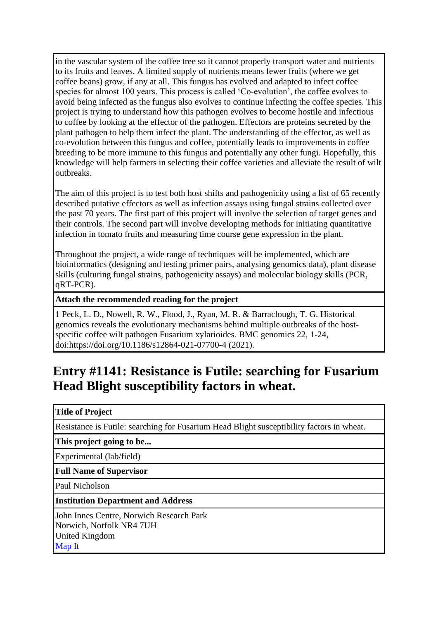in the vascular system of the coffee tree so it cannot properly transport water and nutrients to its fruits and leaves. A limited supply of nutrients means fewer fruits (where we get coffee beans) grow, if any at all. This fungus has evolved and adapted to infect coffee species for almost 100 years. This process is called 'Co-evolution', the coffee evolves to avoid being infected as the fungus also evolves to continue infecting the coffee species. This project is trying to understand how this pathogen evolves to become hostile and infectious to coffee by looking at the effector of the pathogen. Effectors are proteins secreted by the plant pathogen to help them infect the plant. The understanding of the effector, as well as co-evolution between this fungus and coffee, potentially leads to improvements in coffee breeding to be more immune to this fungus and potentially any other fungi. Hopefully, this knowledge will help farmers in selecting their coffee varieties and alleviate the result of wilt outbreaks.

The aim of this project is to test both host shifts and pathogenicity using a list of 65 recently described putative effectors as well as infection assays using fungal strains collected over the past 70 years. The first part of this project will involve the selection of target genes and their controls. The second part will involve developing methods for initiating quantitative infection in tomato fruits and measuring time course gene expression in the plant.

Throughout the project, a wide range of techniques will be implemented, which are bioinformatics (designing and testing primer pairs, analysing genomics data), plant disease skills (culturing fungal strains, pathogenicity assays) and molecular biology skills (PCR, qRT-PCR).

**Attach the recommended reading for the project**

1 Peck, L. D., Nowell, R. W., Flood, J., Ryan, M. R. & Barraclough, T. G. Historical genomics reveals the evolutionary mechanisms behind multiple outbreaks of the hostspecific coffee wilt pathogen Fusarium xylarioides. BMC genomics 22, 1-24, doi:https://doi.org/10.1186/s12864-021-07700-4 (2021).

## **Entry #1141: Resistance is Futile: searching for Fusarium Head Blight susceptibility factors in wheat.**

#### **Title of Project**

Resistance is Futile: searching for Fusarium Head Blight susceptibility factors in wheat.

**This project going to be...**

Experimental (lab/field)

**Full Name of Supervisor**

Paul Nicholson

#### **Institution Department and Address**

John Innes Centre, Norwich Research Park Norwich, Norfolk NR4 7UH United Kingdom [Map It](http://maps.google.com/maps?q=John+Innes+Centre%2C+Norwich+Research+Park+Norwich%2C+Norfolk+NR4+7UH+United+Kingdom)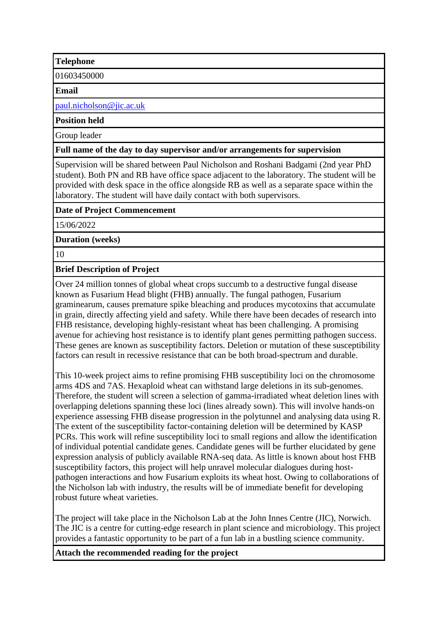#### **Telephone**

01603450000

**Email**

[paul.nicholson@jic.ac.uk](mailto:paul.nicholson@jic.ac.uk)

#### **Position held**

Group leader

#### **Full name of the day to day supervisor and/or arrangements for supervision**

Supervision will be shared between Paul Nicholson and Roshani Badgami (2nd year PhD student). Both PN and RB have office space adjacent to the laboratory. The student will be provided with desk space in the office alongside RB as well as a separate space within the laboratory. The student will have daily contact with both supervisors.

#### **Date of Project Commencement**

15/06/2022

**Duration (weeks)**

10

#### **Brief Description of Project**

Over 24 million tonnes of global wheat crops succumb to a destructive fungal disease known as Fusarium Head blight (FHB) annually. The fungal pathogen, Fusarium graminearum, causes premature spike bleaching and produces mycotoxins that accumulate in grain, directly affecting yield and safety. While there have been decades of research into FHB resistance, developing highly-resistant wheat has been challenging. A promising avenue for achieving host resistance is to identify plant genes permitting pathogen success. These genes are known as susceptibility factors. Deletion or mutation of these susceptibility factors can result in recessive resistance that can be both broad-spectrum and durable.

This 10-week project aims to refine promising FHB susceptibility loci on the chromosome arms 4DS and 7AS. Hexaploid wheat can withstand large deletions in its sub-genomes. Therefore, the student will screen a selection of gamma-irradiated wheat deletion lines with overlapping deletions spanning these loci (lines already sown). This will involve hands-on experience assessing FHB disease progression in the polytunnel and analysing data using R. The extent of the susceptibility factor-containing deletion will be determined by KASP PCRs. This work will refine susceptibility loci to small regions and allow the identification of individual potential candidate genes. Candidate genes will be further elucidated by gene expression analysis of publicly available RNA-seq data. As little is known about host FHB susceptibility factors, this project will help unravel molecular dialogues during hostpathogen interactions and how Fusarium exploits its wheat host. Owing to collaborations of the Nicholson lab with industry, the results will be of immediate benefit for developing robust future wheat varieties.

The project will take place in the Nicholson Lab at the John Innes Centre (JIC), Norwich. The JIC is a centre for cutting-edge research in plant science and microbiology. This project provides a fantastic opportunity to be part of a fun lab in a bustling science community.

**Attach the recommended reading for the project**